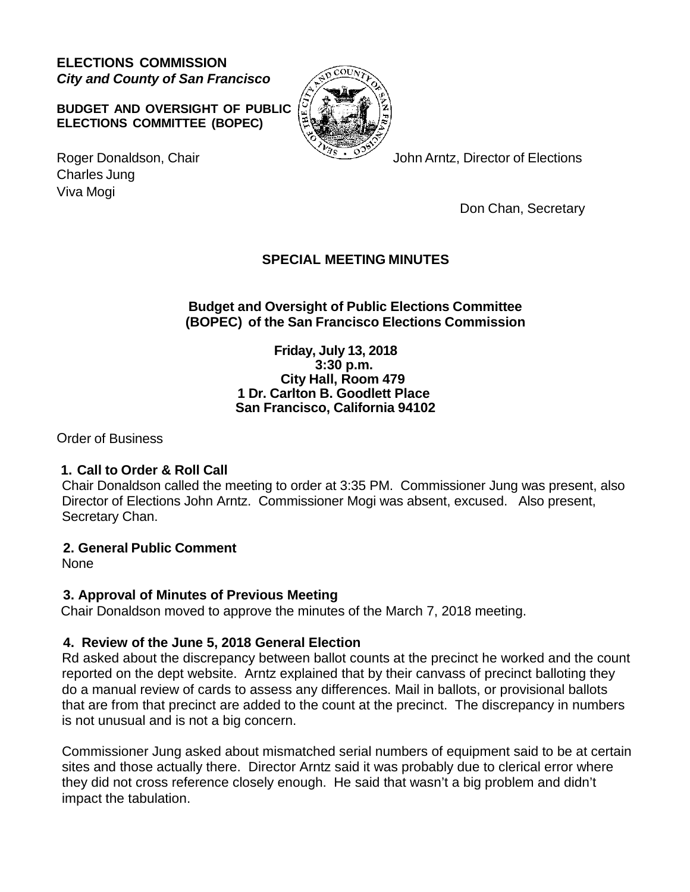**ELECTIONS COMMISSION** *City and County of San Francisco*

**BUDGET AND OVERSIGHT OF PUBLIC ELECTIONS COMMITTEE (BOPEC)**



Roger Donaldson, Chair John Arntz, Director of Elections

Charles Jung Viva Mogi

Don Chan, Secretary

# **SPECIAL MEETING MINUTES**

## **Budget and Oversight of Public Elections Committee (BOPEC) of the San Francisco Elections Commission**

**Friday, July 13, 2018 3:30 p.m. City Hall, Room 479 1 Dr. Carlton B. Goodlett Place San Francisco, California 94102**

Order of Business

## **1. Call to Order & Roll Call**

Chair Donaldson called the meeting to order at 3:35 PM. Commissioner Jung was present, also Director of Elections John Arntz. Commissioner Mogi was absent, excused. Also present, Secretary Chan.

## **2. General Public Comment**

None

# **3. Approval of Minutes of Previous Meeting**

Chair Donaldson moved to approve the minutes of the March 7, 2018 meeting.

# **4. Review of the June 5, 2018 General Election**

Rd asked about the discrepancy between ballot counts at the precinct he worked and the count reported on the dept website. Arntz explained that by their canvass of precinct balloting they do a manual review of cards to assess any differences. Mail in ballots, or provisional ballots that are from that precinct are added to the count at the precinct. The discrepancy in numbers is not unusual and is not a big concern.

Commissioner Jung asked about mismatched serial numbers of equipment said to be at certain sites and those actually there. Director Arntz said it was probably due to clerical error where they did not cross reference closely enough. He said that wasn't a big problem and didn't impact the tabulation.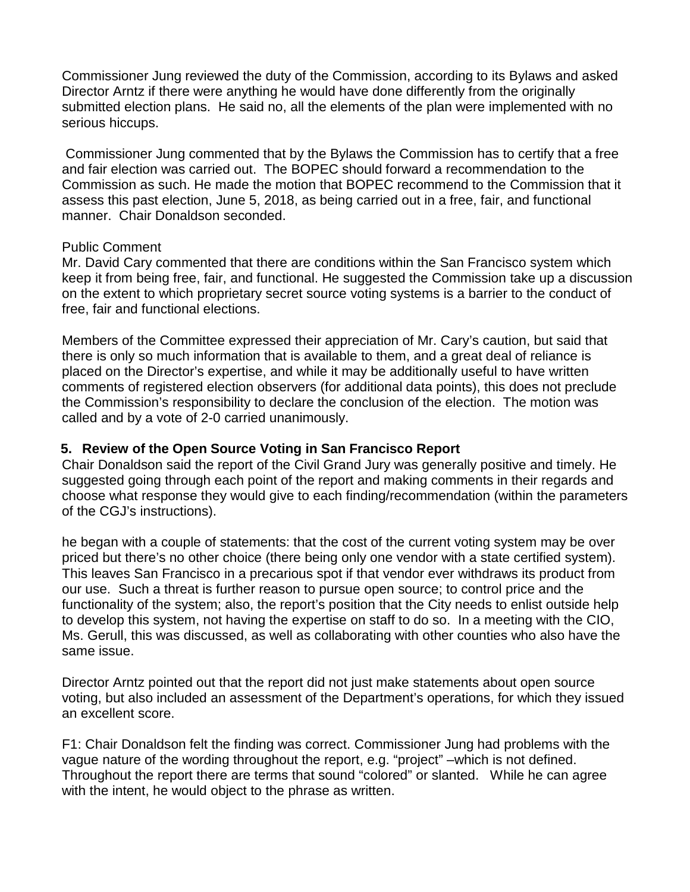Commissioner Jung reviewed the duty of the Commission, according to its Bylaws and asked Director Arntz if there were anything he would have done differently from the originally submitted election plans. He said no, all the elements of the plan were implemented with no serious hiccups.

Commissioner Jung commented that by the Bylaws the Commission has to certify that a free and fair election was carried out. The BOPEC should forward a recommendation to the Commission as such. He made the motion that BOPEC recommend to the Commission that it assess this past election, June 5, 2018, as being carried out in a free, fair, and functional manner. Chair Donaldson seconded.

### Public Comment

Mr. David Cary commented that there are conditions within the San Francisco system which keep it from being free, fair, and functional. He suggested the Commission take up a discussion on the extent to which proprietary secret source voting systems is a barrier to the conduct of free, fair and functional elections.

Members of the Committee expressed their appreciation of Mr. Cary's caution, but said that there is only so much information that is available to them, and a great deal of reliance is placed on the Director's expertise, and while it may be additionally useful to have written comments of registered election observers (for additional data points), this does not preclude the Commission's responsibility to declare the conclusion of the election. The motion was called and by a vote of 2-0 carried unanimously.

## **5. Review of the Open Source Voting in San Francisco Report**

Chair Donaldson said the report of the Civil Grand Jury was generally positive and timely. He suggested going through each point of the report and making comments in their regards and choose what response they would give to each finding/recommendation (within the parameters of the CGJ's instructions).

he began with a couple of statements: that the cost of the current voting system may be over priced but there's no other choice (there being only one vendor with a state certified system). This leaves San Francisco in a precarious spot if that vendor ever withdraws its product from our use. Such a threat is further reason to pursue open source; to control price and the functionality of the system; also, the report's position that the City needs to enlist outside help to develop this system, not having the expertise on staff to do so. In a meeting with the CIO, Ms. Gerull, this was discussed, as well as collaborating with other counties who also have the same issue.

Director Arntz pointed out that the report did not just make statements about open source voting, but also included an assessment of the Department's operations, for which they issued an excellent score.

F1: Chair Donaldson felt the finding was correct. Commissioner Jung had problems with the vague nature of the wording throughout the report, e.g. "project" –which is not defined. Throughout the report there are terms that sound "colored" or slanted. While he can agree with the intent, he would object to the phrase as written.